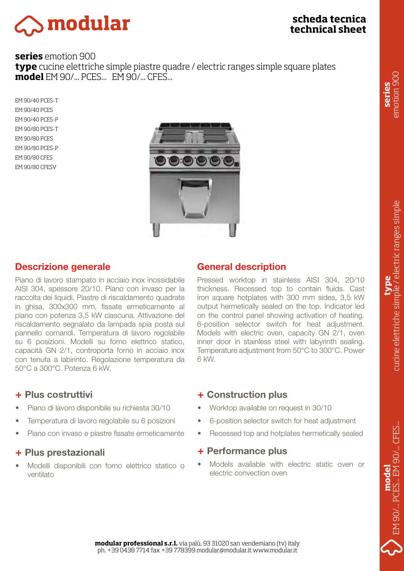# **Smodular**

## **scheda tecnica technical sheet**

## **series** emotion 900

**type** cucine elettriche simple piastre quadre / electric ranges simple square plates **model** EM 90/... PCES... EM 90/... CFES...

EM 90/40 PCES-T EM 90/40 PCES EM 90/40 PCES-P EM 90/80 PCES-T EM 90/80 PCES EM 90/80 PCES-P EM 90/80 CFES EM 90/80 CFESV



## Descrizione generale

Piano di lavoro stampato in acciaio inox inossidabile AISI 304, spessore 20/10. Piano con invaso per la raccolta dei liquidi. Piastre di riscaldamento quadrate in ghisa, 300x300 mm, fissate ermeticamente al piano con potenza 3,5 kW ciascuna. Attivazione del riscaldamento segnalato da lampada spia posta sul pannello comandi. Temperatura di lavoro regolabile su 6 posizioni. Modelli su forno elettrico statico, capacità GN 2/1, controporta forno in acciaio inox con tenuta a labirinto. Regolazione temperatura da 50°C a 300°C. Potenza 6 kW.

#### + Plus costruttivi

- Piano di lavoro disponibile su richiesta 30/10
- Temperatura di lavoro regolabile su 6 posizioni
- Piano con invaso e piastre fissate ermeticamente

#### + Plus prestazionali

• Modelli disponibili con forno elettrico statico o ventilato

## General description

Pressed worktop in stainless AISI 304, 20/10 thickness. Recessed top to contain fluids. Cast iron square hotplates with 300 mm sides, 3,5 kW output hermetically sealed on the top. Indicator led on the control panel showing activation of heating. 6-position selector switch for heat adjustment. Models with electric oven, capacity GN 2/1, oven inner door in stainless steel with labyrinth sealing. Temperature adjustment from 50°C to 300°C. Power 6 kW.

## + Construction plus

- Worktop available on request in 30/10
- 6-position selector switch for heat adjustment
- Recessed top and hotplates hermetically sealed

#### + Performance plus

• Models available with electric static oven or electric convection oven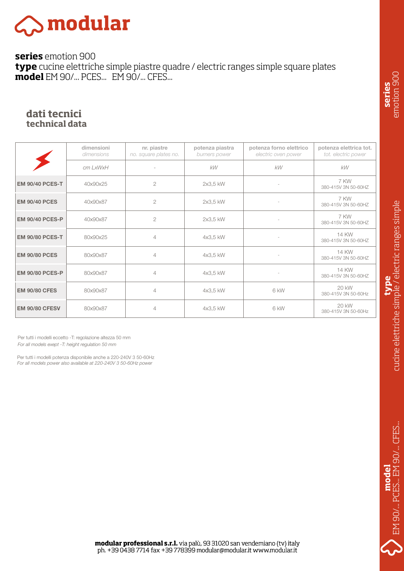# $\gtrsim$  modular

**series** emotion 900

**type** cucine elettriche simple piastre quadre / electric ranges simple square plates **model** EM 90/... PCES... EM 90/... CFES...

#### **dati tecnici technical data**

|                        | dimensioni<br>dimensions | nr. piastre<br>no. square plates no. | potenza piastra<br>burners power | potenza forno elettrico<br>electric oven power | potenza elettrica tot.<br>tot. electric power |
|------------------------|--------------------------|--------------------------------------|----------------------------------|------------------------------------------------|-----------------------------------------------|
|                        | cm LxWxH                 |                                      | kW                               | kW                                             | kW                                            |
| <b>EM 90/40 PCES-T</b> | 40x90x25                 | $\mathbf{2}$                         | 2x3,5 kW                         |                                                | 7 KW<br>380-415V 3N 50-60HZ                   |
| <b>EM 90/40 PCES</b>   | 40x90x87                 | $\overline{2}$                       | 2x3,5 kW                         |                                                | 7 KW<br>380-415V 3N 50-60HZ                   |
| <b>EM 90/40 PCES-P</b> | 40x90x87                 | $\mathbf{2}$                         | 2x3,5 kW                         |                                                | 7 KW<br>380-415V 3N 50-60HZ                   |
| <b>EM 90/80 PCES-T</b> | 80x90x25                 | $\overline{4}$                       | 4x3,5 kW                         |                                                | 14 KW<br>380-415V 3N 50-60HZ                  |
| <b>EM 90/80 PCES</b>   | 80x90x87                 | $\overline{4}$                       | 4x3,5 kW                         |                                                | 14 KW<br>380-415V 3N 50-60HZ                  |
| <b>EM 90/80 PCES-P</b> | 80x90x87                 | $\overline{4}$                       | 4x3,5 kW                         |                                                | 14 KW<br>380-415V 3N 50-60HZ                  |
| <b>EM 90/80 CFES</b>   | 80x90x87                 | $\overline{4}$                       | 4x3,5 kW                         | 6 kW                                           | 20 kW<br>380-415V 3N 50-60Hz                  |
| <b>EM 90/80 CFESV</b>  | 80x90x87                 | $\overline{4}$                       | 4x3,5 kW                         | 6 kW                                           | 20 kW<br>380-415V 3N 50-60Hz                  |

Per tutti i modelli eccetto -T: regolazione altezza 50 mm *For all models exept -T: height regulation 50 mm*

Per tutti i modelli potenza disponibile anche a 220-240V 3 50-60Hz *For all models power also available at 220-240V 3 50-60Hz power*

EM 90/... PCES... EM 90/... CFES...

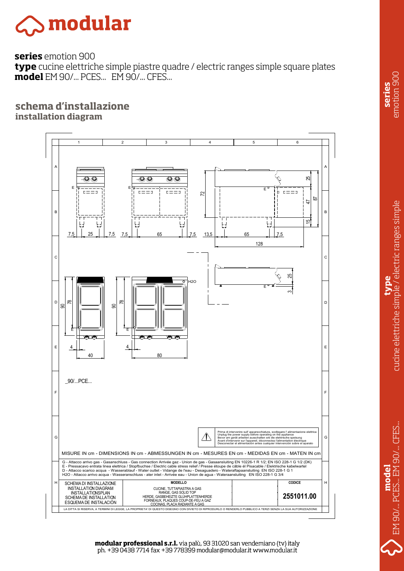

**series** emotion 900

**type** cucine elettriche simple piastre quadre / electric ranges simple square plates **model** EM 90/... PCES... EM 90/... CFES...

#### **schema d'installazione installation diagram**



emotion 900 emotion 900 **series**

EM 90/... PCES... EM 90/... CFES...EM 90/... PCES... EM 90/... CFES. **model**

**modular professional s.r.l.** via palù, 93 31020 san vendemiano (tv) italy ph. +39 0438 7714 fax +39 778399 modular@modular.it www.modular.it